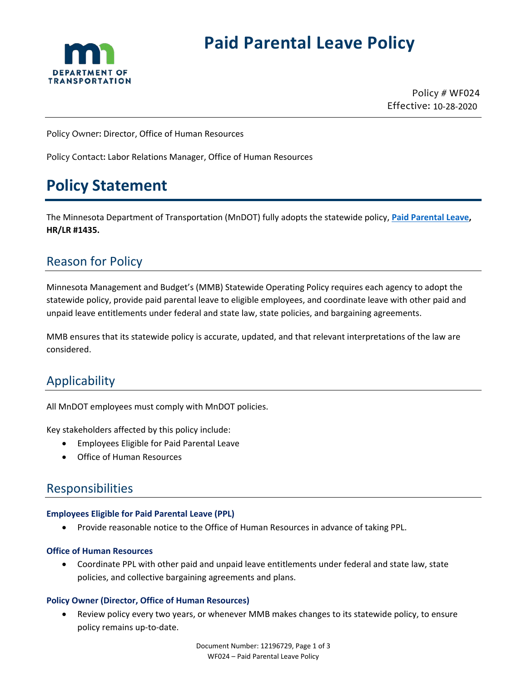

# **Paid Parental Leave Policy**

Policy # WF024 Effective: 10-28-2020

Policy Owner: Director, Office of Human Resources

Policy Contact: Labor Relations Manager, Office of Human Resources

## **Policy Statement**

The Minnesota Department of Transportation (MnDOT) fully adopts the statewide policy, **[Paid Parental Leave,](https://mn.gov/mmb-stat/policies/1435-PaidParentalLeave.pdf) HR/LR #1435.**

### Reason for Policy

Minnesota Management and Budget's (MMB) Statewide Operating Policy requires each agency to adopt the statewide policy, provide paid parental leave to eligible employees, and coordinate leave with other paid and unpaid leave entitlements under federal and state law, state policies, and bargaining agreements.

MMB ensures that its statewide policy is accurate, updated, and that relevant interpretations of the law are considered.

### Applicability

All MnDOT employees must comply with MnDOT policies.

Key stakeholders affected by this policy include:

- Employees Eligible for Paid Parental Leave
- Office of Human Resources

### Responsibilities

#### **Employees Eligible for Paid Parental Leave (PPL)**

• Provide reasonable notice to the Office of Human Resources in advance of taking PPL.

#### **Office of Human Resources**

• Coordinate PPL with other paid and unpaid leave entitlements under federal and state law, state policies, and collective bargaining agreements and plans.

#### **Policy Owner (Director, Office of Human Resources)**

• Review policy every two years, or whenever MMB makes changes to its statewide policy, to ensure policy remains up-to-date.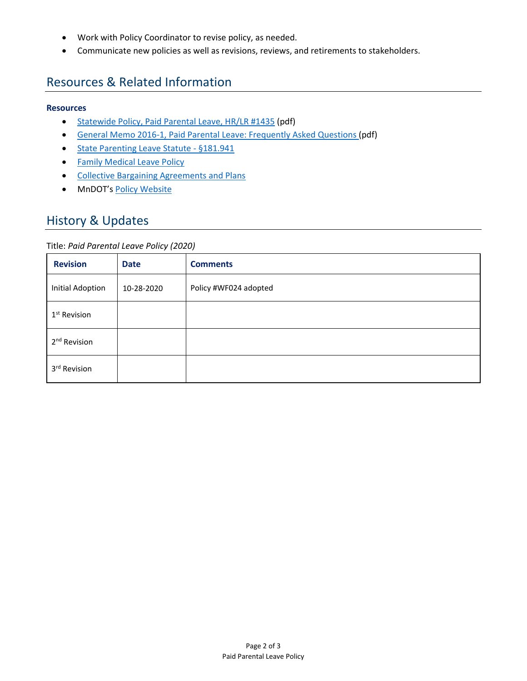- Work with Policy Coordinator to revise policy, as needed.
- Communicate new policies as well as revisions, reviews, and retirements to stakeholders.

### Resources & Related Information

#### **Resources**

- [Statewide Policy, Paid Parental Leave, HR/LR #1435](https://mn.gov/mmb-stat/policies/1435-PaidParentalLeave.pdf) (pdf)
- [General Memo 2016-1, Paid Parental Leave: Frequently Asked Questions \(](https://mn.gov/mmb-stat/policies/1435-paid-parental-leave-memo.pdf)pdf)
- [State Parenting Leave Statute §181.941](https://www.revisor.mn.gov/statutes/cite/181.941)
- [Family Medical Leave Policy](http://www.dot.state.mn.us/policy/hr/hr004.html)
- [Collective Bargaining Agreements and Plans](https://mn.gov/mmb/employee-relations/labor-relations/labor/)
- MnDOT's [Policy Website](http://www.dot.state.mn.us/policy/index.html)

### History & Updates

#### Title: *Paid Parental Leave Policy (2020)*

| <b>Revision</b>          | <b>Date</b> | <b>Comments</b>       |
|--------------------------|-------------|-----------------------|
| <b>Initial Adoption</b>  | 10-28-2020  | Policy #WF024 adopted |
| 1 <sup>st</sup> Revision |             |                       |
| 2 <sup>nd</sup> Revision |             |                       |
| 3rd Revision             |             |                       |